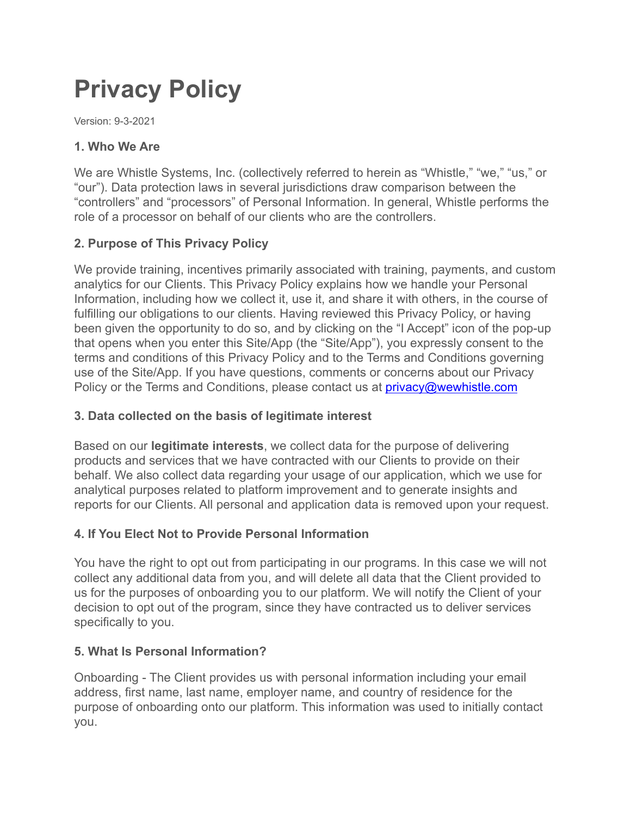# **Privacy Policy**

Version: 9-3-2021

### **1. Who We Are**

We are Whistle Systems, Inc. (collectively referred to herein as "Whistle," "we," "us," or "our"). Data protection laws in several jurisdictions draw comparison between the "controllers" and "processors" of Personal Information. In general, Whistle performs the role of a processor on behalf of our clients who are the controllers.

### **2. Purpose of This Privacy Policy**

We provide training, incentives primarily associated with training, payments, and custom analytics for our Clients. This Privacy Policy explains how we handle your Personal Information, including how we collect it, use it, and share it with others, in the course of fulfilling our obligations to our clients. Having reviewed this Privacy Policy, or having been given the opportunity to do so, and by clicking on the "I Accept" icon of the pop-up that opens when you enter this Site/App (the "Site/App"), you expressly consent to the terms and conditions of this Privacy Policy and to the Terms and Conditions governing use of the Site/App. If you have questions, comments or concerns about our Privacy Policy or the Terms and Conditions, please contact us at [privacy@wewhistle.com](mailto:privacy@wewhistle.com)

#### **3. Data collected on the basis of legitimate interest**

Based on our **legitimate interests**, we collect data for the purpose of delivering products and services that we have contracted with our Clients to provide on their behalf. We also collect data regarding your usage of our application, which we use for analytical purposes related to platform improvement and to generate insights and reports for our Clients. All personal and application data is removed upon your request.

# **4. If You Elect Not to Provide Personal Information**

You have the right to opt out from participating in our programs. In this case we will not collect any additional data from you, and will delete all data that the Client provided to us for the purposes of onboarding you to our platform. We will notify the Client of your decision to opt out of the program, since they have contracted us to deliver services specifically to you.

#### **5. What Is Personal Information?**

Onboarding - The Client provides us with personal information including your email address, first name, last name, employer name, and country of residence for the purpose of onboarding onto our platform. This information was used to initially contact you.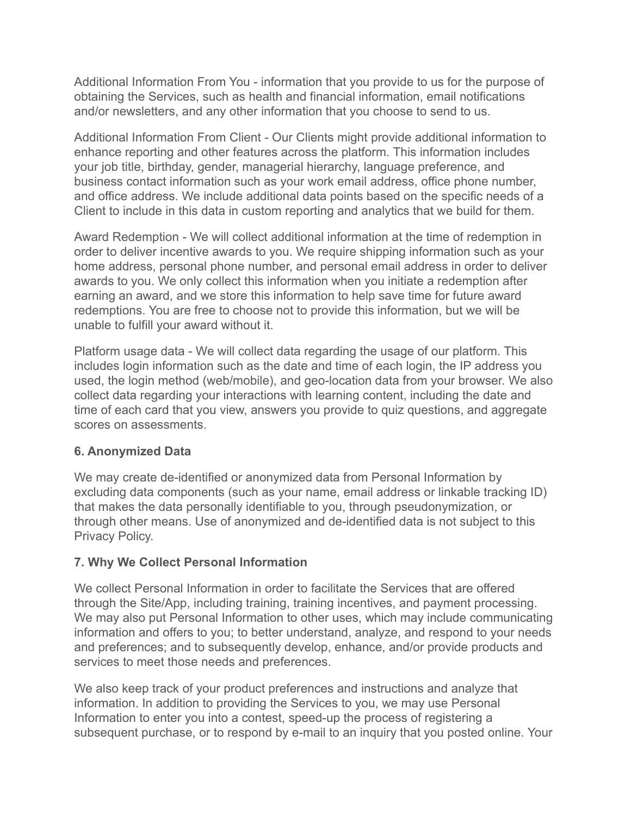Additional Information From You - information that you provide to us for the purpose of obtaining the Services, such as health and financial information, email notifications and/or newsletters, and any other information that you choose to send to us.

Additional Information From Client - Our Clients might provide additional information to enhance reporting and other features across the platform. This information includes your job title, birthday, gender, managerial hierarchy, language preference, and business contact information such as your work email address, office phone number, and office address. We include additional data points based on the specific needs of a Client to include in this data in custom reporting and analytics that we build for them.

Award Redemption - We will collect additional information at the time of redemption in order to deliver incentive awards to you. We require shipping information such as your home address, personal phone number, and personal email address in order to deliver awards to you. We only collect this information when you initiate a redemption after earning an award, and we store this information to help save time for future award redemptions. You are free to choose not to provide this information, but we will be unable to fulfill your award without it.

Platform usage data - We will collect data regarding the usage of our platform. This includes login information such as the date and time of each login, the IP address you used, the login method (web/mobile), and geo-location data from your browser. We also collect data regarding your interactions with learning content, including the date and time of each card that you view, answers you provide to quiz questions, and aggregate scores on assessments.

#### **6. Anonymized Data**

We may create de-identified or anonymized data from Personal Information by excluding data components (such as your name, email address or linkable tracking ID) that makes the data personally identifiable to you, through pseudonymization, or through other means. Use of anonymized and de-identified data is not subject to this Privacy Policy.

# **7. Why We Collect Personal Information**

We collect Personal Information in order to facilitate the Services that are offered through the Site/App, including training, training incentives, and payment processing. We may also put Personal Information to other uses, which may include communicating information and offers to you; to better understand, analyze, and respond to your needs and preferences; and to subsequently develop, enhance, and/or provide products and services to meet those needs and preferences.

We also keep track of your product preferences and instructions and analyze that information. In addition to providing the Services to you, we may use Personal Information to enter you into a contest, speed-up the process of registering a subsequent purchase, or to respond by e-mail to an inquiry that you posted online. Your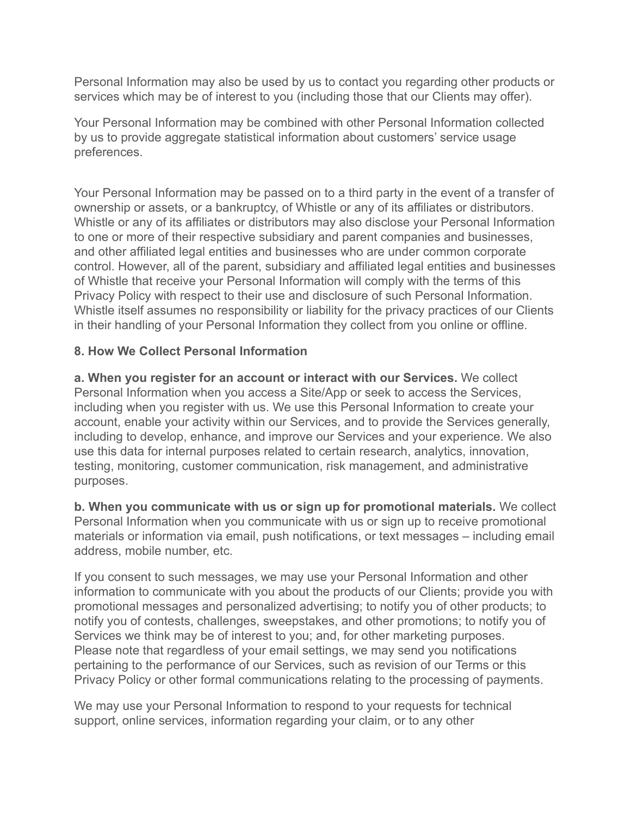Personal Information may also be used by us to contact you regarding other products or services which may be of interest to you (including those that our Clients may offer).

Your Personal Information may be combined with other Personal Information collected by us to provide aggregate statistical information about customers' service usage preferences.

Your Personal Information may be passed on to a third party in the event of a transfer of ownership or assets, or a bankruptcy, of Whistle or any of its affiliates or distributors. Whistle or any of its affiliates or distributors may also disclose your Personal Information to one or more of their respective subsidiary and parent companies and businesses, and other affiliated legal entities and businesses who are under common corporate control. However, all of the parent, subsidiary and affiliated legal entities and businesses of Whistle that receive your Personal Information will comply with the terms of this Privacy Policy with respect to their use and disclosure of such Personal Information. Whistle itself assumes no responsibility or liability for the privacy practices of our Clients in their handling of your Personal Information they collect from you online or offline.

#### **8. How We Collect Personal Information**

**a. When you register for an account or interact with our Services.** We collect Personal Information when you access a Site/App or seek to access the Services, including when you register with us. We use this Personal Information to create your account, enable your activity within our Services, and to provide the Services generally, including to develop, enhance, and improve our Services and your experience. We also use this data for internal purposes related to certain research, analytics, innovation, testing, monitoring, customer communication, risk management, and administrative purposes.

**b. When you communicate with us or sign up for promotional materials.** We collect Personal Information when you communicate with us or sign up to receive promotional materials or information via email, push notifications, or text messages – including email address, mobile number, etc.

If you consent to such messages, we may use your Personal Information and other information to communicate with you about the products of our Clients; provide you with promotional messages and personalized advertising; to notify you of other products; to notify you of contests, challenges, sweepstakes, and other promotions; to notify you of Services we think may be of interest to you; and, for other marketing purposes. Please note that regardless of your email settings, we may send you notifications pertaining to the performance of our Services, such as revision of our Terms or this Privacy Policy or other formal communications relating to the processing of payments.

We may use your Personal Information to respond to your requests for technical support, online services, information regarding your claim, or to any other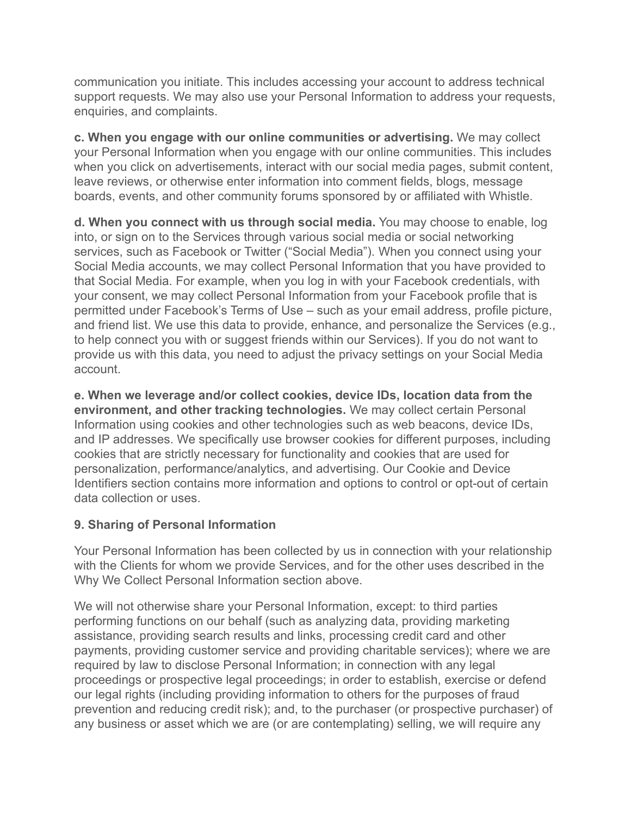communication you initiate. This includes accessing your account to address technical support requests. We may also use your Personal Information to address your requests, enquiries, and complaints.

**c. When you engage with our online communities or advertising.** We may collect your Personal Information when you engage with our online communities. This includes when you click on advertisements, interact with our social media pages, submit content, leave reviews, or otherwise enter information into comment fields, blogs, message boards, events, and other community forums sponsored by or affiliated with Whistle.

**d. When you connect with us through social media.** You may choose to enable, log into, or sign on to the Services through various social media or social networking services, such as Facebook or Twitter ("Social Media"). When you connect using your Social Media accounts, we may collect Personal Information that you have provided to that Social Media. For example, when you log in with your Facebook credentials, with your consent, we may collect Personal Information from your Facebook profile that is permitted under Facebook's Terms of Use – such as your email address, profile picture, and friend list. We use this data to provide, enhance, and personalize the Services (e.g., to help connect you with or suggest friends within our Services). If you do not want to provide us with this data, you need to adjust the privacy settings on your Social Media account.

**e. When we leverage and/or collect cookies, device IDs, location data from the environment, and other tracking technologies.** We may collect certain Personal Information using cookies and other technologies such as web beacons, device IDs, and IP addresses. We specifically use browser cookies for different purposes, including cookies that are strictly necessary for functionality and cookies that are used for personalization, performance/analytics, and advertising. Our Cookie and Device Identifiers section contains more information and options to control or opt-out of certain data collection or uses.

#### **9. Sharing of Personal Information**

Your Personal Information has been collected by us in connection with your relationship with the Clients for whom we provide Services, and for the other uses described in the Why We Collect Personal Information section above.

We will not otherwise share your Personal Information, except: to third parties performing functions on our behalf (such as analyzing data, providing marketing assistance, providing search results and links, processing credit card and other payments, providing customer service and providing charitable services); where we are required by law to disclose Personal Information; in connection with any legal proceedings or prospective legal proceedings; in order to establish, exercise or defend our legal rights (including providing information to others for the purposes of fraud prevention and reducing credit risk); and, to the purchaser (or prospective purchaser) of any business or asset which we are (or are contemplating) selling, we will require any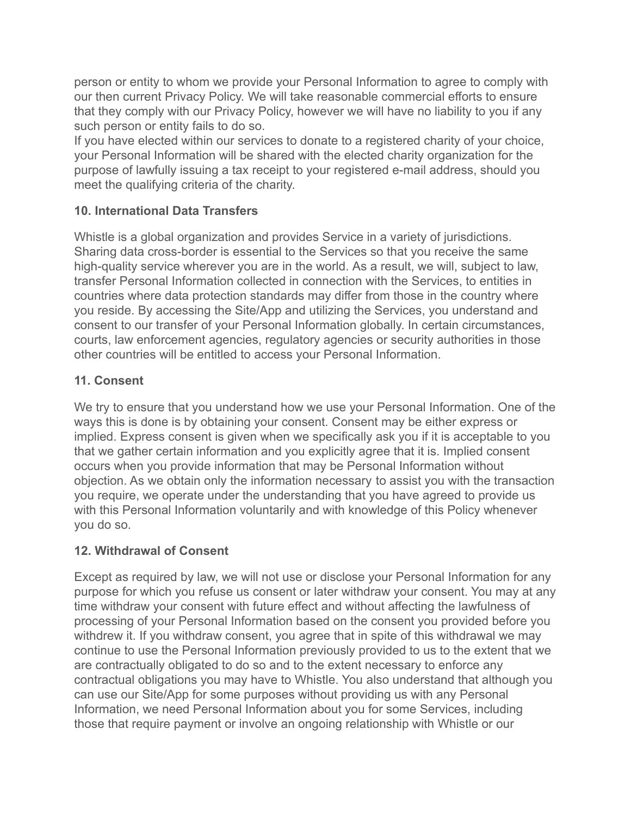person or entity to whom we provide your Personal Information to agree to comply with our then current Privacy Policy. We will take reasonable commercial efforts to ensure that they comply with our Privacy Policy, however we will have no liability to you if any such person or entity fails to do so.

If you have elected within our services to donate to a registered charity of your choice, your Personal Information will be shared with the elected charity organization for the purpose of lawfully issuing a tax receipt to your registered e-mail address, should you meet the qualifying criteria of the charity.

## **10. International Data Transfers**

Whistle is a global organization and provides Service in a variety of jurisdictions. Sharing data cross-border is essential to the Services so that you receive the same high-quality service wherever you are in the world. As a result, we will, subject to law, transfer Personal Information collected in connection with the Services, to entities in countries where data protection standards may differ from those in the country where you reside. By accessing the Site/App and utilizing the Services, you understand and consent to our transfer of your Personal Information globally. In certain circumstances, courts, law enforcement agencies, regulatory agencies or security authorities in those other countries will be entitled to access your Personal Information.

### **11. Consent**

We try to ensure that you understand how we use your Personal Information. One of the ways this is done is by obtaining your consent. Consent may be either express or implied. Express consent is given when we specifically ask you if it is acceptable to you that we gather certain information and you explicitly agree that it is. Implied consent occurs when you provide information that may be Personal Information without objection. As we obtain only the information necessary to assist you with the transaction you require, we operate under the understanding that you have agreed to provide us with this Personal Information voluntarily and with knowledge of this Policy whenever you do so.

#### **12. Withdrawal of Consent**

Except as required by law, we will not use or disclose your Personal Information for any purpose for which you refuse us consent or later withdraw your consent. You may at any time withdraw your consent with future effect and without affecting the lawfulness of processing of your Personal Information based on the consent you provided before you withdrew it. If you withdraw consent, you agree that in spite of this withdrawal we may continue to use the Personal Information previously provided to us to the extent that we are contractually obligated to do so and to the extent necessary to enforce any contractual obligations you may have to Whistle. You also understand that although you can use our Site/App for some purposes without providing us with any Personal Information, we need Personal Information about you for some Services, including those that require payment or involve an ongoing relationship with Whistle or our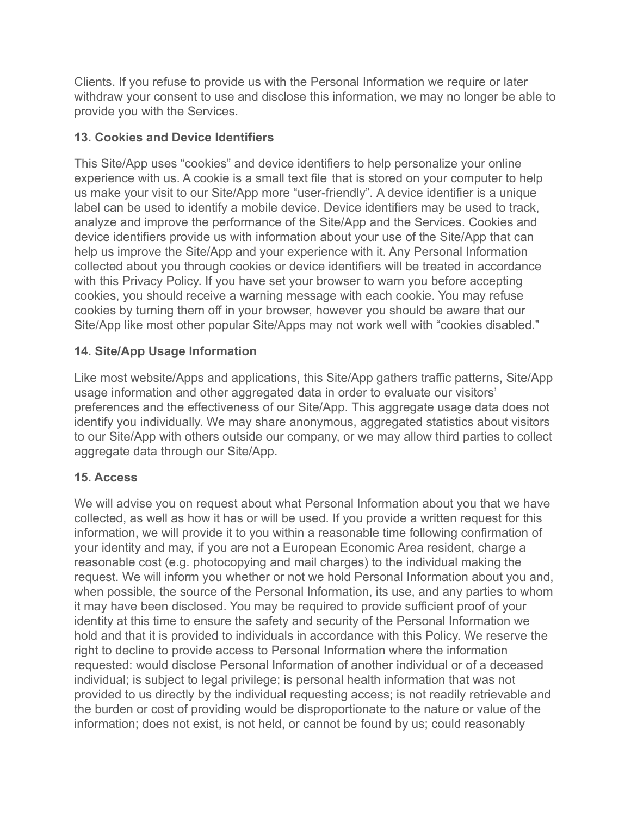Clients. If you refuse to provide us with the Personal Information we require or later withdraw your consent to use and disclose this information, we may no longer be able to provide you with the Services.

## **13. Cookies and Device Identifiers**

This Site/App uses "cookies" and device identifiers to help personalize your online experience with us. A cookie is a small text file that is stored on your computer to help us make your visit to our Site/App more "user-friendly". A device identifier is a unique label can be used to identify a mobile device. Device identifiers may be used to track, analyze and improve the performance of the Site/App and the Services. Cookies and device identifiers provide us with information about your use of the Site/App that can help us improve the Site/App and your experience with it. Any Personal Information collected about you through cookies or device identifiers will be treated in accordance with this Privacy Policy. If you have set your browser to warn you before accepting cookies, you should receive a warning message with each cookie. You may refuse cookies by turning them off in your browser, however you should be aware that our Site/App like most other popular Site/Apps may not work well with "cookies disabled."

# **14. Site/App Usage Information**

Like most website/Apps and applications, this Site/App gathers traffic patterns, Site/App usage information and other aggregated data in order to evaluate our visitors' preferences and the effectiveness of our Site/App. This aggregate usage data does not identify you individually. We may share anonymous, aggregated statistics about visitors to our Site/App with others outside our company, or we may allow third parties to collect aggregate data through our Site/App.

# **15. Access**

We will advise you on request about what Personal Information about you that we have collected, as well as how it has or will be used. If you provide a written request for this information, we will provide it to you within a reasonable time following confirmation of your identity and may, if you are not a European Economic Area resident, charge a reasonable cost (e.g. photocopying and mail charges) to the individual making the request. We will inform you whether or not we hold Personal Information about you and, when possible, the source of the Personal Information, its use, and any parties to whom it may have been disclosed. You may be required to provide sufficient proof of your identity at this time to ensure the safety and security of the Personal Information we hold and that it is provided to individuals in accordance with this Policy. We reserve the right to decline to provide access to Personal Information where the information requested: would disclose Personal Information of another individual or of a deceased individual; is subject to legal privilege; is personal health information that was not provided to us directly by the individual requesting access; is not readily retrievable and the burden or cost of providing would be disproportionate to the nature or value of the information; does not exist, is not held, or cannot be found by us; could reasonably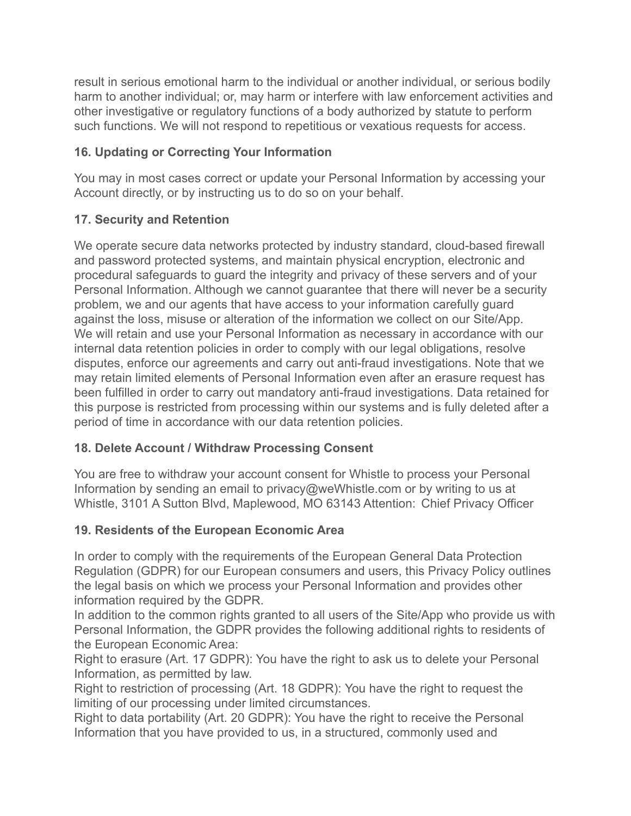result in serious emotional harm to the individual or another individual, or serious bodily harm to another individual; or, may harm or interfere with law enforcement activities and other investigative or regulatory functions of a body authorized by statute to perform such functions. We will not respond to repetitious or vexatious requests for access.

# **16. Updating or Correcting Your Information**

You may in most cases correct or update your Personal Information by accessing your Account directly, or by instructing us to do so on your behalf.

# **17. Security and Retention**

We operate secure data networks protected by industry standard, cloud-based firewall and password protected systems, and maintain physical encryption, electronic and procedural safeguards to guard the integrity and privacy of these servers and of your Personal Information. Although we cannot guarantee that there will never be a security problem, we and our agents that have access to your information carefully guard against the loss, misuse or alteration of the information we collect on our Site/App. We will retain and use your Personal Information as necessary in accordance with our internal data retention policies in order to comply with our legal obligations, resolve disputes, enforce our agreements and carry out anti-fraud investigations. Note that we may retain limited elements of Personal Information even after an erasure request has been fulfilled in order to carry out mandatory anti-fraud investigations. Data retained for this purpose is restricted from processing within our systems and is fully deleted after a period of time in accordance with our data retention policies.

# **18. Delete Account / Withdraw Processing Consent**

You are free to withdraw your account consent for Whistle to process your Personal Information by sending an email to privacy@weWhistle.com or by writing to us at Whistle, 3101 A Sutton Blvd, Maplewood, MO 63143 Attention: Chief Privacy Officer

# **19. Residents of the European Economic Area**

In order to comply with the requirements of the European General Data Protection Regulation (GDPR) for our European consumers and users, this Privacy Policy outlines the legal basis on which we process your Personal Information and provides other information required by the GDPR.

In addition to the common rights granted to all users of the Site/App who provide us with Personal Information, the GDPR provides the following additional rights to residents of the European Economic Area:

Right to erasure (Art. 17 GDPR): You have the right to ask us to delete your Personal Information, as permitted by law.

Right to restriction of processing (Art. 18 GDPR): You have the right to request the limiting of our processing under limited circumstances.

Right to data portability (Art. 20 GDPR): You have the right to receive the Personal Information that you have provided to us, in a structured, commonly used and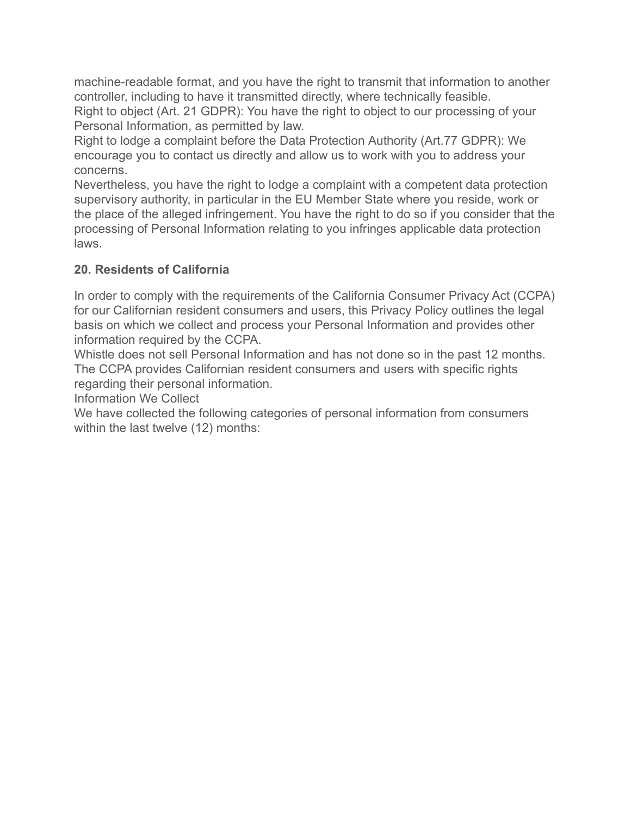machine-readable format, and you have the right to transmit that information to another controller, including to have it transmitted directly, where technically feasible.

Right to object (Art. 21 GDPR): You have the right to object to our processing of your Personal Information, as permitted by law.

Right to lodge a complaint before the Data Protection Authority (Art.77 GDPR): We encourage you to contact us directly and allow us to work with you to address your concerns.

Nevertheless, you have the right to lodge a complaint with a competent data protection supervisory authority, in particular in the EU Member State where you reside, work or the place of the alleged infringement. You have the right to do so if you consider that the processing of Personal Information relating to you infringes applicable data protection laws.

# **20. Residents of California**

In order to comply with the requirements of the California Consumer Privacy Act (CCPA) for our Californian resident consumers and users, this Privacy Policy outlines the legal basis on which we collect and process your Personal Information and provides other information required by the CCPA.

Whistle does not sell Personal Information and has not done so in the past 12 months. The CCPA provides Californian resident consumers and users with specific rights regarding their personal information.

Information We Collect

We have collected the following categories of personal information from consumers within the last twelve (12) months: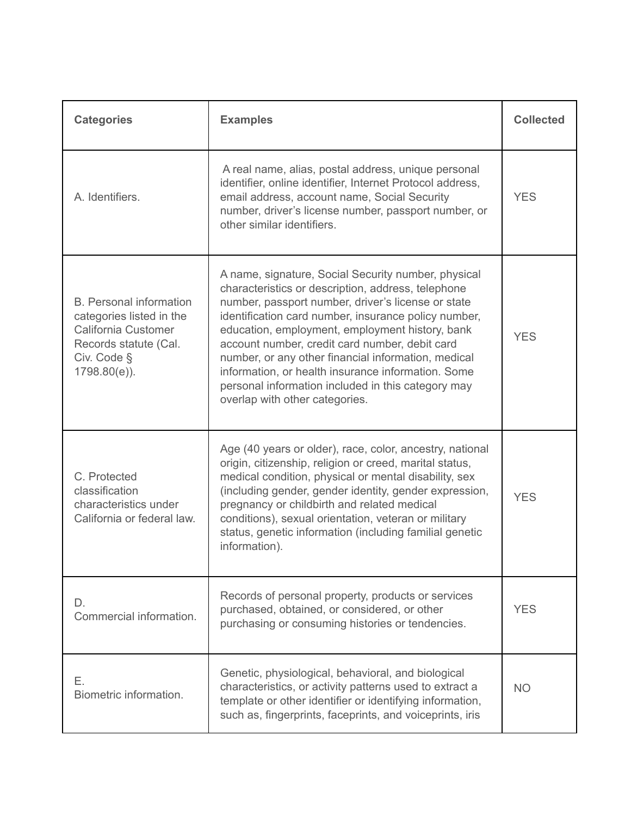| <b>Categories</b>                                                                                                                            | <b>Examples</b>                                                                                                                                                                                                                                                                                                                                                                                                                                                                                                                   | <b>Collected</b> |
|----------------------------------------------------------------------------------------------------------------------------------------------|-----------------------------------------------------------------------------------------------------------------------------------------------------------------------------------------------------------------------------------------------------------------------------------------------------------------------------------------------------------------------------------------------------------------------------------------------------------------------------------------------------------------------------------|------------------|
| A. Identifiers.                                                                                                                              | A real name, alias, postal address, unique personal<br>identifier, online identifier, Internet Protocol address,<br>email address, account name, Social Security<br>number, driver's license number, passport number, or<br>other similar identifiers.                                                                                                                                                                                                                                                                            | <b>YES</b>       |
| <b>B.</b> Personal information<br>categories listed in the<br>California Customer<br>Records statute (Cal.<br>Civ. Code §<br>$1798.80(e)$ ). | A name, signature, Social Security number, physical<br>characteristics or description, address, telephone<br>number, passport number, driver's license or state<br>identification card number, insurance policy number,<br>education, employment, employment history, bank<br>account number, credit card number, debit card<br>number, or any other financial information, medical<br>information, or health insurance information. Some<br>personal information included in this category may<br>overlap with other categories. | <b>YES</b>       |
| C. Protected<br>classification<br>characteristics under<br>California or federal law.                                                        | Age (40 years or older), race, color, ancestry, national<br>origin, citizenship, religion or creed, marital status,<br>medical condition, physical or mental disability, sex<br>(including gender, gender identity, gender expression,<br>pregnancy or childbirth and related medical<br>conditions), sexual orientation, veteran or military<br>status, genetic information (including familial genetic<br>information).                                                                                                         | <b>YES</b>       |
| D.<br>Commercial information.                                                                                                                | Records of personal property, products or services<br>purchased, obtained, or considered, or other<br>purchasing or consuming histories or tendencies.                                                                                                                                                                                                                                                                                                                                                                            | <b>YES</b>       |
| Е.<br>Biometric information.                                                                                                                 | Genetic, physiological, behavioral, and biological<br>characteristics, or activity patterns used to extract a<br>template or other identifier or identifying information,<br>such as, fingerprints, faceprints, and voiceprints, iris                                                                                                                                                                                                                                                                                             | <b>NO</b>        |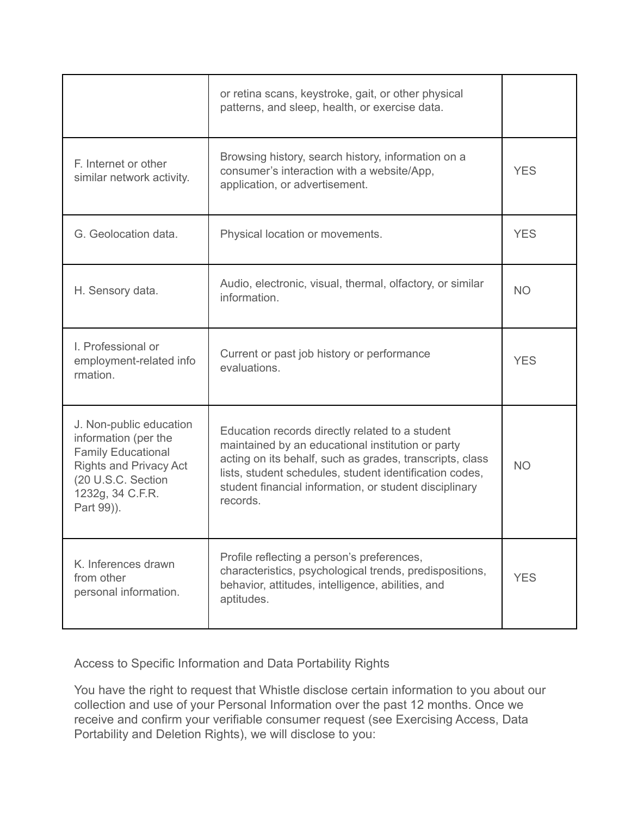|                                                                                                                                                                       | or retina scans, keystroke, gait, or other physical<br>patterns, and sleep, health, or exercise data.                                                                                                                                                                                             |            |
|-----------------------------------------------------------------------------------------------------------------------------------------------------------------------|---------------------------------------------------------------------------------------------------------------------------------------------------------------------------------------------------------------------------------------------------------------------------------------------------|------------|
| F. Internet or other<br>similar network activity.                                                                                                                     | Browsing history, search history, information on a<br>consumer's interaction with a website/App,<br>application, or advertisement.                                                                                                                                                                | <b>YES</b> |
| G. Geolocation data.                                                                                                                                                  | Physical location or movements.                                                                                                                                                                                                                                                                   | <b>YES</b> |
| H. Sensory data.                                                                                                                                                      | Audio, electronic, visual, thermal, olfactory, or similar<br>information.                                                                                                                                                                                                                         | <b>NO</b>  |
| I. Professional or<br>employment-related info<br>rmation.                                                                                                             | Current or past job history or performance<br>evaluations.                                                                                                                                                                                                                                        | <b>YES</b> |
| J. Non-public education<br>information (per the<br><b>Family Educational</b><br><b>Rights and Privacy Act</b><br>(20 U.S.C. Section<br>1232g, 34 C.F.R.<br>Part 99)). | Education records directly related to a student<br>maintained by an educational institution or party<br>acting on its behalf, such as grades, transcripts, class<br>lists, student schedules, student identification codes,<br>student financial information, or student disciplinary<br>records. | <b>NO</b>  |
| K. Inferences drawn<br>from other<br>personal information.                                                                                                            | Profile reflecting a person's preferences,<br>characteristics, psychological trends, predispositions,<br>behavior, attitudes, intelligence, abilities, and<br>aptitudes.                                                                                                                          | <b>YES</b> |

Access to Specific Information and Data Portability Rights

You have the right to request that Whistle disclose certain information to you about our collection and use of your Personal Information over the past 12 months. Once we receive and confirm your verifiable consumer request (see Exercising Access, Data Portability and Deletion Rights), we will disclose to you: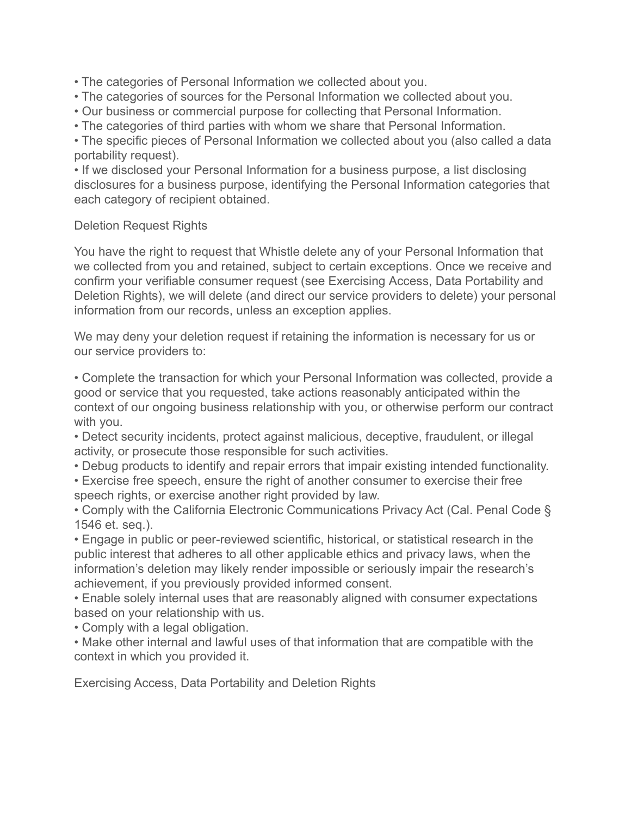• The categories of Personal Information we collected about you.

- The categories of sources for the Personal Information we collected about you.
- Our business or commercial purpose for collecting that Personal Information.
- The categories of third parties with whom we share that Personal Information.

• The specific pieces of Personal Information we collected about you (also called a data portability request).

• If we disclosed your Personal Information for a business purpose, a list disclosing disclosures for a business purpose, identifying the Personal Information categories that each category of recipient obtained.

#### Deletion Request Rights

You have the right to request that Whistle delete any of your Personal Information that we collected from you and retained, subject to certain exceptions. Once we receive and confirm your verifiable consumer request (see Exercising Access, Data Portability and Deletion Rights), we will delete (and direct our service providers to delete) your personal information from our records, unless an exception applies.

We may deny your deletion request if retaining the information is necessary for us or our service providers to:

• Complete the transaction for which your Personal Information was collected, provide a good or service that you requested, take actions reasonably anticipated within the context of our ongoing business relationship with you, or otherwise perform our contract with you.

• Detect security incidents, protect against malicious, deceptive, fraudulent, or illegal activity, or prosecute those responsible for such activities.

- Debug products to identify and repair errors that impair existing intended functionality.
- Exercise free speech, ensure the right of another consumer to exercise their free speech rights, or exercise another right provided by law.

• Comply with the California Electronic Communications Privacy Act (Cal. Penal Code § 1546 et. seq.).

• Engage in public or peer-reviewed scientific, historical, or statistical research in the public interest that adheres to all other applicable ethics and privacy laws, when the information's deletion may likely render impossible or seriously impair the research's achievement, if you previously provided informed consent.

• Enable solely internal uses that are reasonably aligned with consumer expectations based on your relationship with us.

• Comply with a legal obligation.

• Make other internal and lawful uses of that information that are compatible with the context in which you provided it.

Exercising Access, Data Portability and Deletion Rights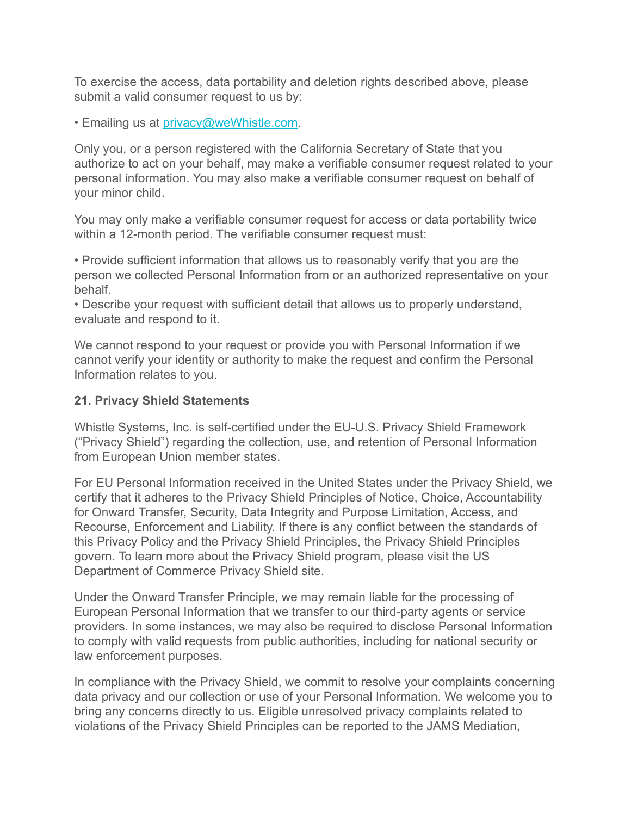To exercise the access, data portability and deletion rights described above, please submit a valid consumer request to us by:

• Emailing us at [privacy@weWhistle.com](mailto:privacy@360insights.com).

Only you, or a person registered with the California Secretary of State that you authorize to act on your behalf, may make a verifiable consumer request related to your personal information. You may also make a verifiable consumer request on behalf of your minor child.

You may only make a verifiable consumer request for access or data portability twice within a 12-month period. The verifiable consumer request must:

• Provide sufficient information that allows us to reasonably verify that you are the person we collected Personal Information from or an authorized representative on your behalf.

• Describe your request with sufficient detail that allows us to properly understand, evaluate and respond to it.

We cannot respond to your request or provide you with Personal Information if we cannot verify your identity or authority to make the request and confirm the Personal Information relates to you.

#### **21. Privacy Shield Statements**

Whistle Systems, Inc. is self-certified under the EU-U.S. Privacy Shield Framework ("Privacy Shield") regarding the collection, use, and retention of Personal Information from European Union member states.

For EU Personal Information received in the United States under the Privacy Shield, we certify that it adheres to the Privacy Shield Principles of Notice, Choice, Accountability for Onward Transfer, Security, Data Integrity and Purpose Limitation, Access, and Recourse, Enforcement and Liability. If there is any conflict between the standards of this Privacy Policy and the Privacy Shield Principles, the Privacy Shield Principles govern. To learn more about the Privacy Shield program, please visit the US Department of Commerce Privacy Shield site.

Under the Onward Transfer Principle, we may remain liable for the processing of European Personal Information that we transfer to our third-party agents or service providers. In some instances, we may also be required to disclose Personal Information to comply with valid requests from public authorities, including for national security or law enforcement purposes.

In compliance with the Privacy Shield, we commit to resolve your complaints concerning data privacy and our collection or use of your Personal Information. We welcome you to bring any concerns directly to us. Eligible unresolved privacy complaints related to violations of the Privacy Shield Principles can be reported to the JAMS Mediation,